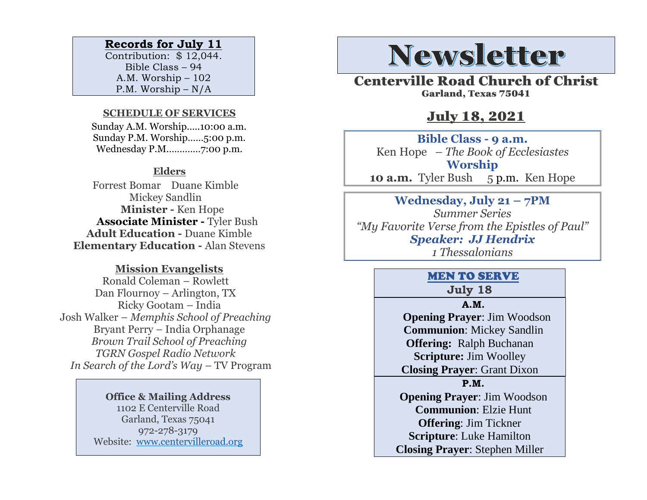### **Records for July 11**

Contribution: \$ 12,044. Bible Class – 94 A.M. Worship – 102 P.M. Worship – N/A

#### **SCHEDULE OF SERVICES**

 Sunday A.M. Worship.….10:00 a.m. Sunday P.M. Worship……5:00 p.m. Wednesday P.M.…………7:00 p.m.

#### **Elders**

Forrest Bomar Duane Kimble Mickey Sandlin  **Minister -** Ken Hope  **Associate Minister -** Tyler Bush **Adult Education -** Duane Kimble **Elementary Education -** Alan Stevens

### **Mission Evangelists**

Ronald Coleman – Rowlett Dan Flournoy – Arlington, TX Ricky Gootam – India Josh Walker – *Memphis School of Preaching* Bryant Perry – India Orphanage *Brown Trail School of Preaching TGRN Gospel Radio Network In Search of the Lord's Way – TV Program* 

> **Office & Mailing Address** 1102 E Centerville Road Garland, Texas 75041 972-278-3179 Website: [www.centervilleroad.org](https://d.docs.live.net/97e199c461b763eb/Newsletter/News%202020/August%202020/www.centervilleroad.org)

# **Newsletter**

Centerville Road Church of Christ Garland, Texas 75041

## July 18, 2021

**Bible Class - 9 a.m.** Ken Hope *– The Book of Ecclesiastes* **Worship 10 a.m.** Tyler Bush5 p.m. Ken Hope

**Wednesday, July 21 – 7PM** *Summer Series "My Favorite Verse from the Epistles of Paul" Speaker: JJ Hendrix 1 Thessalonians*

## MEN TO SERVE

**July 18**

**A.M. Opening Prayer**: Jim Woodson **Communion**: Mickey Sandlin **Offering:** Ralph Buchanan **Scripture:** Jim Woolley **Closing Prayer**: Grant Dixon **P.M.**

**Opening Prayer**: Jim Woodson **Communion**: Elzie Hunt **Offering**: Jim Tickner **Scripture**: Luke Hamilton **Closing Prayer**: Stephen Miller